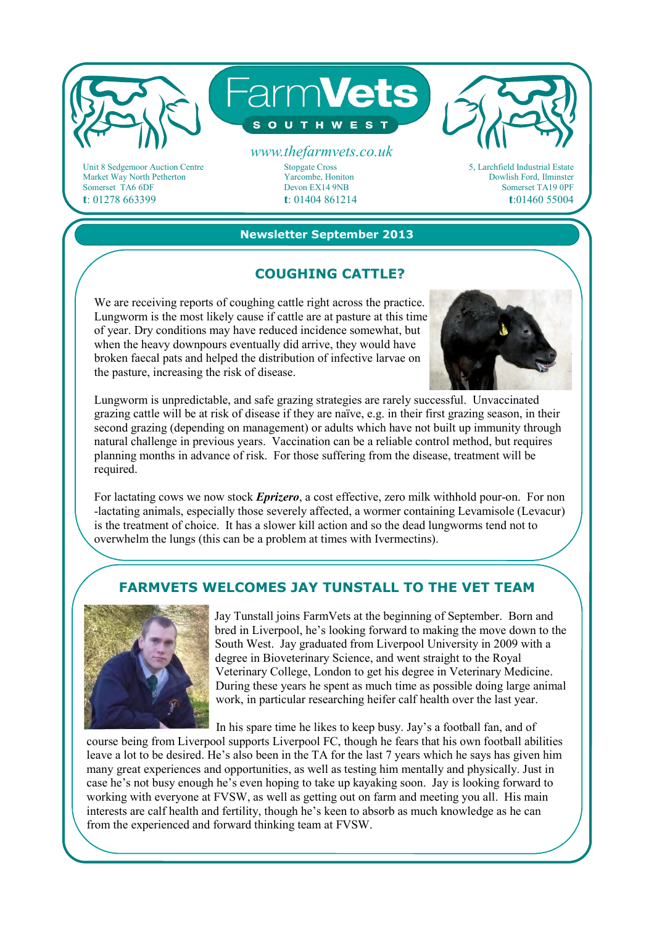

Market Way North Petherton Somerset TA6 6DF **t**: 01278 663399

# Yarcombe, Honiton

Devon EX14 9NB **t**: 01404 861214 5, Larchfield Industrial Estate Dowlish Ford, Ilminster Somerset TA19 0PF **t**:01460 55004

#### **Newsletter September 2013**

## **COUGHING CATTLE?**

We are receiving reports of coughing cattle right across the practice. Lungworm is the most likely cause if cattle are at pasture at this time of year. Dry conditions may have reduced incidence somewhat, but when the heavy downpours eventually did arrive, they would have broken faecal pats and helped the distribution of infective larvae on the pasture, increasing the risk of disease.



Lungworm is unpredictable, and safe grazing strategies are rarely successful. Unvaccinated grazing cattle will be at risk of disease if they are naïve, e.g. in their first grazing season, in their second grazing (depending on management) or adults which have not built up immunity through natural challenge in previous years. Vaccination can be a reliable control method, but requires planning months in advance of risk. For those suffering from the disease, treatment will be required.

For lactating cows we now stock *Eprizero*, a cost effective, zero milk withhold pour-on. For non -lactating animals, especially those severely affected, a wormer containing Levamisole (Levacur) is the treatment of choice. It has a slower kill action and so the dead lungworms tend not to overwhelm the lungs (this can be a problem at times with Ivermectins).

# **FARMVETS WELCOMES JAY TUNSTALL TO THE VET TEAM**



Jay Tunstall joins FarmVets at the beginning of September. Born and bred in Liverpool, he's looking forward to making the move down to the South West. Jay graduated from Liverpool University in 2009 with a degree in Bioveterinary Science, and went straight to the Royal Veterinary College, London to get his degree in Veterinary Medicine. During these years he spent as much time as possible doing large animal work, in particular researching heifer calf health over the last year.

In his spare time he likes to keep busy. Jay's a football fan, and of

course being from Liverpool supports Liverpool FC, though he fears that his own football abilities leave a lot to be desired. He's also been in the TA for the last 7 years which he says has given him many great experiences and opportunities, as well as testing him mentally and physically. Just in case he's not busy enough he's even hoping to take up kayaking soon. Jay is looking forward to working with everyone at FVSW, as well as getting out on farm and meeting you all. His main interests are calf health and fertility, though he's keen to absorb as much knowledge as he can from the experienced and forward thinking team at FVSW.